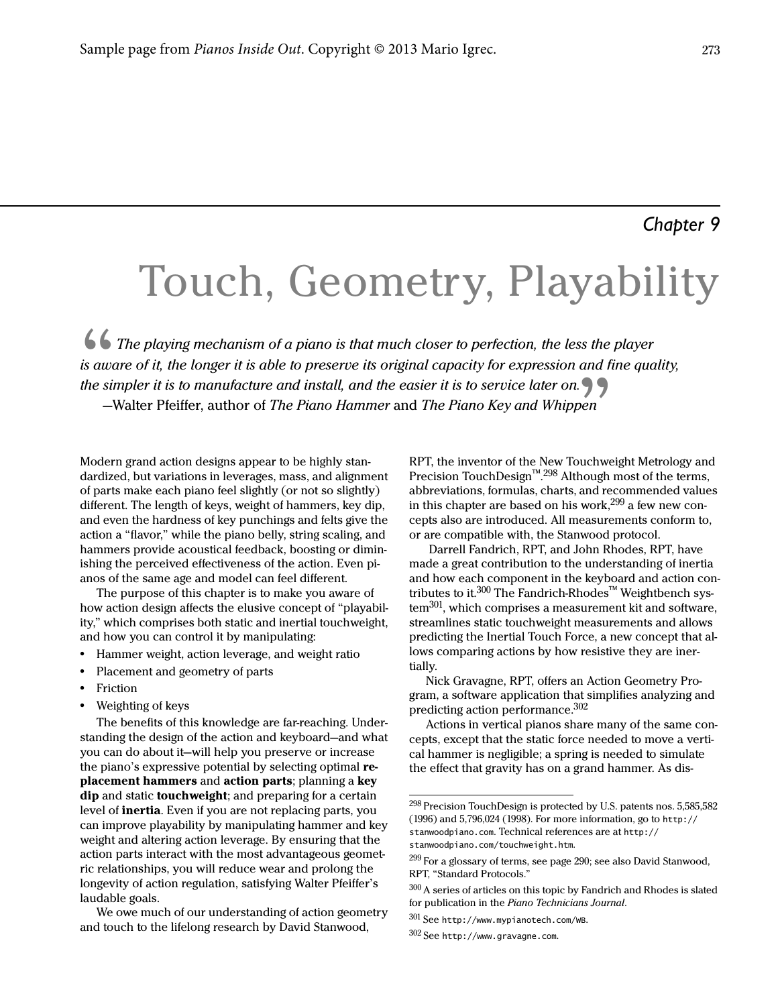# Touch, Geometry, Playability

 $\frac{6}{\text{is aw}}$ <br>the sit The playing mechanism of a piano is that much closer to perfection, the less the player is aware of it, the longer it is able to preserve its original capacity for expression and fine quality, the simpler it is to manufacture and install, and the easier it is to service later on. —Walter Pfeiffer, author of The Piano Hammer and The Piano Key and Whippen

Modern grand action designs appear to be highly standardized, but variations in leverages, mass, and alignment of parts make each piano feel slightly (or not so slightly) different. The length of keys, weight of hammers, key dip, and even the hardness of key punchings and felts give the action a "flavor," while the piano belly, string scaling, and hammers provide acoustical feedback, boosting or diminishing the perceived effectiveness of the action. Even pianos of the same age and model can feel different.

The purpose of this chapter is to make you aware of how action design affects the elusive concept of "playability," which comprises both static and inertial touchweight, and how you can control it by manipulating:

- **•** Hammer weight, action leverage, and weight ratio
- **•** Placement and geometry of parts
- **•** Friction
- **•** Weighting of keys

The benefits of this knowledge are far-reaching. Understanding the design of the action and keyboard—and what you can do about it—will help you preserve or increase the piano's expressive potential by selecting optimal replacement hammers and action parts; planning a key dip and static touchweight; and preparing for a certain level of inertia. Even if you are not replacing parts, you can improve playability by manipulating hammer and key weight and altering action leverage. By ensuring that the action parts interact with the most advantageous geometric relationships, you will reduce wear and prolong the longevity of action regulation, satisfying Walter Pfeiffer's laudable goals.

We owe much of our understanding of action geometry and touch to the lifelong research by David Stanwood,

RPT, the inventor of the New Touchweight Metrology and Precision TouchDesign™.<sup>298</sup> Although most of the terms, abbreviations, formulas, charts, and recommended values in this chapter are based on his work,  $299$  a few new concepts also are introduced. All measurements conform to, or are compatible with, the Stanwood protocol.

 Darrell Fandrich, RPT, and John Rhodes, RPT, have made a great contribution to the understanding of inertia and how each component in the keyboard and action contributes to it. $300$  The Fandrich-Rhodes™ Weightbench system<sup>301</sup>, which comprises a measurement kit and software, streamlines static touchweight measurements and allows predicting the Inertial Touch Force, a new concept that allows comparing actions by how resistive they are inertially.

Nick Gravagne, RPT, offers an Action Geometry Program, a software application that simplifies analyzing and predicting action performance.<sup>302</sup>

Actions in vertical pianos share many of the same concepts, except that the static force needed to move a vertical hammer is negligible; a spring is needed to simulate the effect that gravity has on a grand hammer. As dis-

 $301$  See http://www.mypianotech.com/wB.

 $298$  Precision TouchDesign is protected by U.S. patents nos. 5,585,582 (1996) and 5,796,024 (1998). For more information, go to http:// stanwoodpiano.com. Technical references are at http:// stanwoodpiano.com/touchweight.htm.

<sup>&</sup>lt;sup>299</sup> For a glossary of terms, see [page 290;](#page--1-0) see also David Stanwood, RPT, "Standard Protocols."

<sup>300</sup> A series of articles on this topic by Fandrich and Rhodes is slated for publication in the Piano Technicians Journal.

 $302$  See http://www.gravagne.com.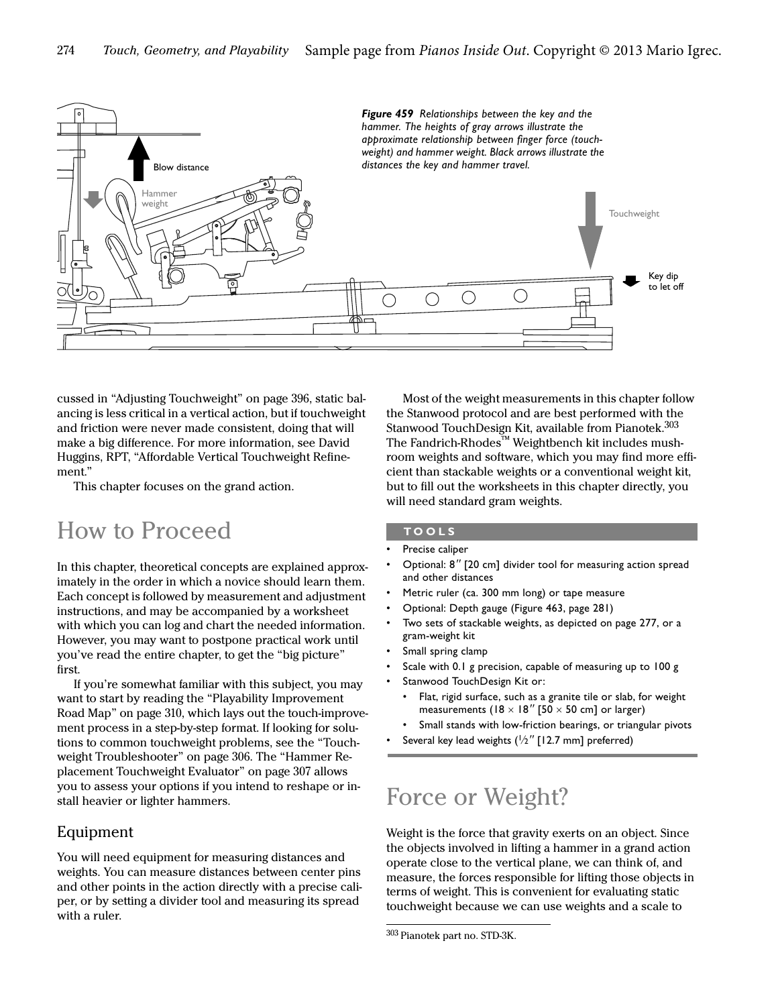

cussed in "Adjusting Touchweight" on page 396, static balancing is less critical in a vertical action, but if touchweight and friction were never made consistent, doing that will make a big difference. For more information, see David Huggins, RPT, "Affordable Vertical Touchweight Refinement."

This chapter focuses on the grand action.

# How to Proceed

In this chapter, theoretical concepts are explained approximately in the order in which a novice should learn them. Each concept is followed by measurement and adjustment instructions, and may be accompanied by a worksheet with which you can log and chart the needed information. However, you may want to postpone practical work until you've read the entire chapter, to get the "big picture" first.

If you're somewhat familiar with this subject, you may want to start by reading the "Playability Improvement Road Map" on page 310, which lays out the touch-improvement process in a step-by-step format. If looking for solutions to common touchweight problems, see the ["Touch](#page-9-0)[weight Troubleshooter"](#page-9-0) on [page 306.](#page-9-0) The "Hammer Replacement Touchweight Evaluator" on page 307 allows you to assess your options if you intend to reshape or install heavier or lighter hammers.

# Equipment

You will need equipment for measuring distances and weights. You can measure distances between center pins and other points in the action directly with a precise caliper, or by setting a divider tool and measuring its spread with a ruler.

Most of the weight measurements in this chapter follow the Stanwood protocol and are best performed with the Stanwood TouchDesign Kit, available from Pianotek.<sup>303</sup> The Fandrich-Rhodes™ Weightbench kit includes mushroom weights and software, which you may find more efficient than stackable weights or a conventional weight kit, but to fill out the worksheets in this chapter directly, you will need standard gram weights.

#### **TOOLS**

- Precise caliper
- Optional: 8" [20 cm] divider tool for measuring action spread and other distances
- Metric ruler (ca. 300 mm long) or tape measure
- Optional: Depth gauge (Figure 463, page 281)
- Two sets of stackable weights, as depicted on [page 277,](#page-4-0) or a gram-weight kit
- Small spring clamp
- Scale with 0.1 g precision, capable of measuring up to 100 g
- Stanwood TouchDesign Kit or:
	- Flat, rigid surface, such as a granite tile or slab, for weight measurements (18  $\times$  18" [50  $\times$  50 cm] or larger)
	- Small stands with low-friction bearings, or triangular pivots
- Several key lead weights  $(\frac{1}{2}$ " [12.7 mm] preferred)

# Force or Weight?

Weight is the force that gravity exerts on an object. Since the objects involved in lifting a hammer in a grand action operate close to the vertical plane, we can think of, and measure, the forces responsible for lifting those objects in terms of weight. This is convenient for evaluating static touchweight because we can use weights and a scale to

<sup>303</sup> Pianotek part no. STD-3K.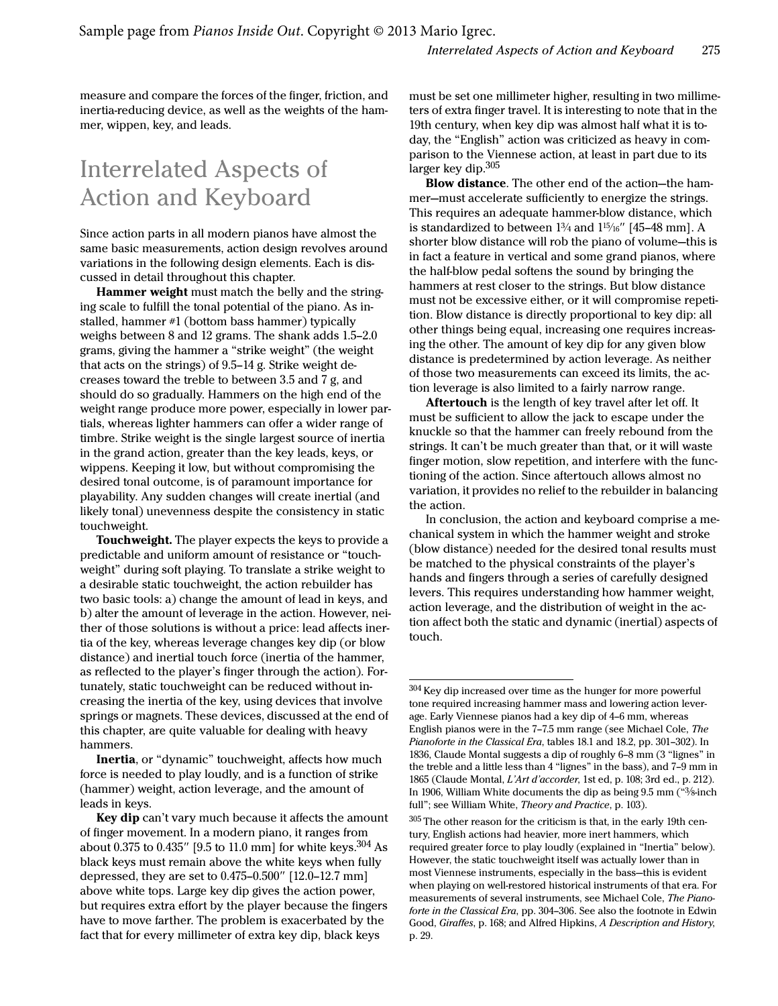measure and compare the forces of the finger, friction, and inertia-reducing device, as well as the weights of the hammer, wippen, key, and leads.

# Interrelated Aspects of Action and Keyboard

Since action parts in all modern pianos have almost the same basic measurements, action design revolves around variations in the following design elements. Each is discussed in detail throughout this chapter.

Hammer weight must match the belly and the stringing scale to fulfill the tonal potential of the piano. As installed, hammer #1 (bottom bass hammer) typically weighs between 8 and 12 grams. The shank adds 1.5–2.0 grams, giving the hammer a "strike weight" (the weight that acts on the strings) of 9.5–14 g. Strike weight decreases toward the treble to between 3.5 and 7 g, and should do so gradually. Hammers on the high end of the weight range produce more power, especially in lower partials, whereas lighter hammers can offer a wider range of timbre. Strike weight is the single largest source of inertia in the grand action, greater than the key leads, keys, or wippens. Keeping it low, but without compromising the desired tonal outcome, is of paramount importance for playability. Any sudden changes will create inertial (and likely tonal) unevenness despite the consistency in static touchweight.

Touchweight. The player expects the keys to provide a predictable and uniform amount of resistance or "touchweight" during soft playing. To translate a strike weight to a desirable static touchweight, the action rebuilder has two basic tools: a) change the amount of lead in keys, and b) alter the amount of leverage in the action. However, neither of those solutions is without a price: lead affects inertia of the key, whereas leverage changes key dip (or blow distance) and inertial touch force (inertia of the hammer, as reflected to the player's finger through the action). Fortunately, static touchweight can be reduced without increasing the inertia of the key, using devices that involve springs or magnets. These devices, discussed at the end of this chapter, are quite valuable for dealing with heavy hammers.

Inertia, or "dynamic" touchweight, affects how much force is needed to play loudly, and is a function of strike (hammer) weight, action leverage, and the amount of leads in keys.

Key dip can't vary much because it affects the amount of finger movement. In a modern piano, it ranges from about 0.375 to 0.435" [9.5 to 11.0 mm] for white keys.<sup>304</sup> As black keys must remain above the white keys when fully depressed, they are set to 0.475–0.500" [12.0–12.7 mm] above white tops. Large key dip gives the action power, but requires extra effort by the player because the fingers have to move farther. The problem is exacerbated by the fact that for every millimeter of extra key dip, black keys

must be set one millimeter higher, resulting in two millimeters of extra finger travel. It is interesting to note that in the 19th century, when key dip was almost half what it is today, the "English" action was criticized as heavy in comparison to the Viennese action, at least in part due to its larger key dip.<sup>305</sup>

Blow distance. The other end of the action—the hammer—must accelerate sufficiently to energize the strings. This requires an adequate hammer-blow distance, which is standardized to between  $1\frac{3}{4}$  and  $1\frac{15}{16}$ " [45–48 mm]. A shorter blow distance will rob the piano of volume—this is in fact a feature in vertical and some grand pianos, where the half-blow pedal softens the sound by bringing the hammers at rest closer to the strings. But blow distance must not be excessive either, or it will compromise repetition. Blow distance is directly proportional to key dip: all other things being equal, increasing one requires increasing the other. The amount of key dip for any given blow distance is predetermined by action leverage. As neither of those two measurements can exceed its limits, the action leverage is also limited to a fairly narrow range.

Aftertouch is the length of key travel after let off. It must be sufficient to allow the jack to escape under the knuckle so that the hammer can freely rebound from the strings. It can't be much greater than that, or it will waste finger motion, slow repetition, and interfere with the functioning of the action. Since aftertouch allows almost no variation, it provides no relief to the rebuilder in balancing the action.

In conclusion, the action and keyboard comprise a mechanical system in which the hammer weight and stroke (blow distance) needed for the desired tonal results must be matched to the physical constraints of the player's hands and fingers through a series of carefully designed levers. This requires understanding how hammer weight, action leverage, and the distribution of weight in the action affect both the static and dynamic (inertial) aspects of touch.

 $305$  The other reason for the criticism is that, in the early 19th century, English actions had heavier, more inert hammers, which required greater force to play loudly (explained in ["Inertia"](#page--1-1) below). However, the static touchweight itself was actually lower than in most Viennese instruments, especially in the bass—this is evident when playing on well-restored historical instruments of that era. For measurements of several instruments, see Michael Cole, The Pianoforte in the Classical Era, pp. 304–306. See also the footnote in Edwin Good, Giraffes, p. 168; and Alfred Hipkins, A Description and History, p. 29.

 $^{304}\!\,$  Key dip increased over time as the hunger for more powerful tone required increasing hammer mass and lowering action leverage. Early Viennese pianos had a key dip of 4–6 mm, whereas English pianos were in the 7–7.5 mm range (see Michael Cole, The Pianoforte in the Classical Era, tables 18.1 and 18.2, pp. 301–302). In 1836, Claude Montal suggests a dip of roughly 6–8 mm (3 "lignes" in the treble and a little less than 4 "lignes" in the bass), and 7–9 mm in 1865 (Claude Montal, L'Art d'accorder, 1st ed, p. 108; 3rd ed., p. 212). In 1906, William White documents the dip as being 9.5 mm ("3/8 inch full"; see William White, Theory and Practice, p. 103).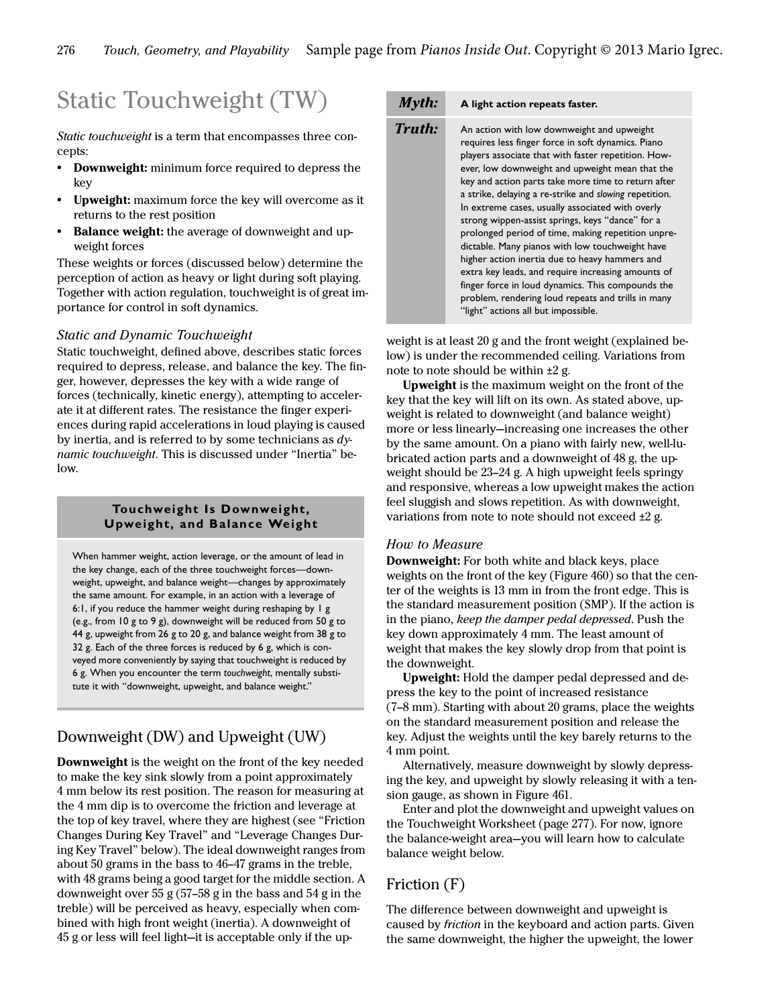# Static Touchweight (TW)

Static touchweight is a term that encompasses three concepts:

- **•** Downweight: minimum force required to depress the key
- **•** Upweight: maximum force the key will overcome as it returns to the rest position
- **•** Balance weight: the average of downweight and upweight forces

These weights or forces (discussed below) determine the perception of action as heavy or light during soft playing. Together with action regulation, touchweight is of great importance for control in soft dynamics.

# Static and Dynamic Touchweight

Static touchweight, defined above, describes static forces required to depress, release, and balance the key. The finger, however, depresses the key with a wide range of forces (technically, kinetic energy), attempting to accelerate it at different rates. The resistance the finger experiences during rapid accelerations in loud playing is caused by inertia, and is referred to by some technicians as  $dy$ namic touchweight. This is discussed under "[Inertia](#page--1-1)" below.

### **Touchweight Is Downweight, Upweight, and Balance Weight**

When hammer weight, action leverage, or the amount of lead in the key change, each of the three touchweight forces—downweight, upweight, and balance weight—changes by approximately the same amount. For example, in an action with a leverage of 6:1, if you reduce the hammer weight during reshaping by 1 g (e.g., from 10 g to 9 g), downweight will be reduced from 50 g to 44 g, upweight from 26 g to 20 g, and balance weight from 38 g to 32 g. Each of the three forces is reduced by 6 g, which is conveyed more conveniently by saying that touchweight is reduced by 6 g. When you encounter the term *touchweight*, mentally substitute it with "downweight, upweight, and balance weight."

# Downweight (DW) and Upweight (UW)

Downweight is the weight on the front of the key needed to make the key sink slowly from a point approximately 4 mm below its rest position. The reason for measuring at the 4 mm dip is to overcome the friction and leverage at the top of key travel, where they are highest (see ["Friction](#page--1-2)  [Changes During Key Travel"](#page--1-2) and ["Leverage Changes Dur](#page--1-3)[ing Key Travel"](#page--1-3) below). The ideal downweight ranges from about 50 grams in the bass to 46–47 grams in the treble, with 48 grams being a good target for the middle section. A downweight over 55 g (57–58 g in the bass and 54 g in the treble) will be perceived as heavy, especially when combined with high front weight (inertia). A downweight of 45 g or less will feel light—it is acceptable only if the up-

# Myth: **A light action repeats faster.**

**Truth:** An action with low downweight and upweight requires less finger force in soft dynamics. Piano players associate that with faster repetition. However, low downweight and upweight mean that the key and action parts take more time to return after a strike, delaying a re-strike and *slowing* repetition. In extreme cases, usually associated with overly strong wippen-assist springs, keys "dance" for a prolonged period of time, making repetition unpredictable. Many pianos with low touchweight have higher action inertia due to heavy hammers and extra key leads, and require increasing amounts of finger force in loud dynamics. This compounds the problem, rendering loud repeats and trills in many "light" actions all but impossible.

weight is at least 20 g and the front weight (explained below) is under the recommended ceiling. Variations from note to note should be within ±2 g.

Upweight is the maximum weight on the front of the key that the key will lift on its own. As stated above, upweight is related to downweight (and balance weight) more or less linearly—increasing one increases the other by the same amount. On a piano with fairly new, well-lubricated action parts and a downweight of 48 g, the upweight should be 23–24 g. A high upweight feels springy and responsive, whereas a low upweight makes the action feel sluggish and slows repetition. As with downweight, variations from note to note should not exceed ±2 g.

### How to Measure

Downweight: For both white and black keys, place weights on the front of the key (Figure 460) so that the center of the weights is 13 mm in from the front edge. This is the standard measurement position (SMP). If the action is in the piano, keep the damper pedal depressed. Push the key down approximately 4 mm. The least amount of weight that makes the key slowly drop from that point is the downweight.

Upweight: Hold the damper pedal depressed and depress the key to the point of increased resistance (7–8 mm). Starting with about 20 grams, place the weights on the standard measurement position and release the key. Adjust the weights until the key barely returns to the 4 mm point.

Alternatively, measure downweight by slowly depressing the key, and upweight by slowly releasing it with a tension gauge, as shown in Figure 461.

Enter and plot the downweight and upweight values on the [Touchweight Worksheet](#page-4-0) ([page 277](#page-4-0)). For now, ignore the balance-weight area—you will learn how to calculate balance weight below.

# Friction (F)

The difference between downweight and upweight is caused by friction in the keyboard and action parts. Given the same downweight, the higher the upweight, the lower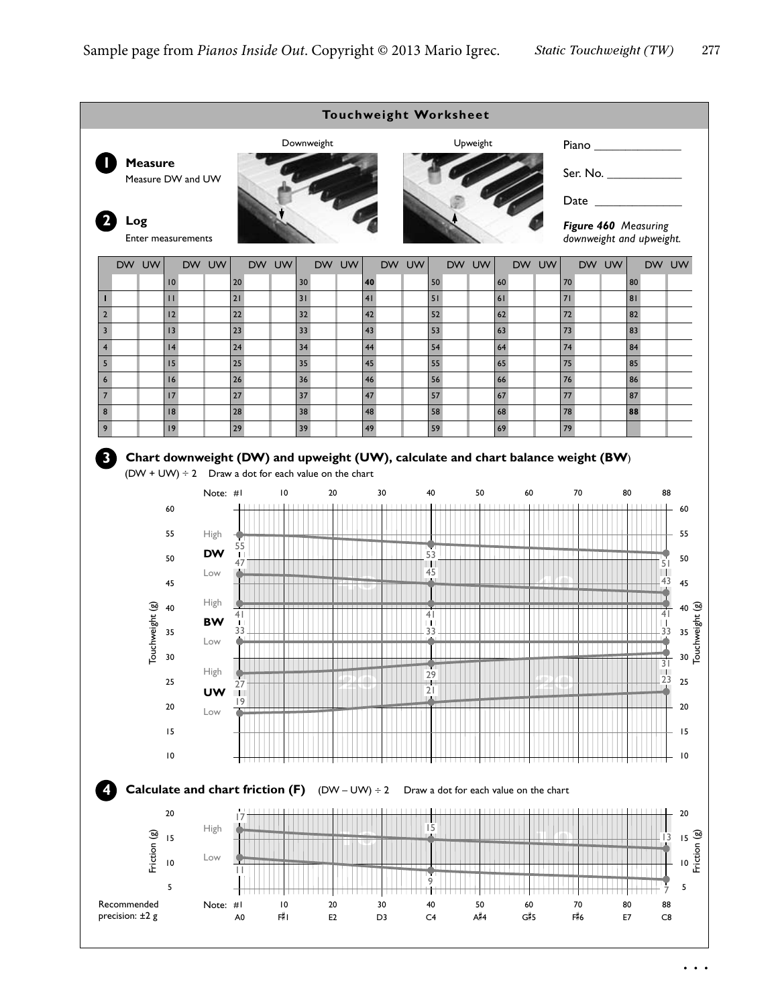<span id="page-4-0"></span>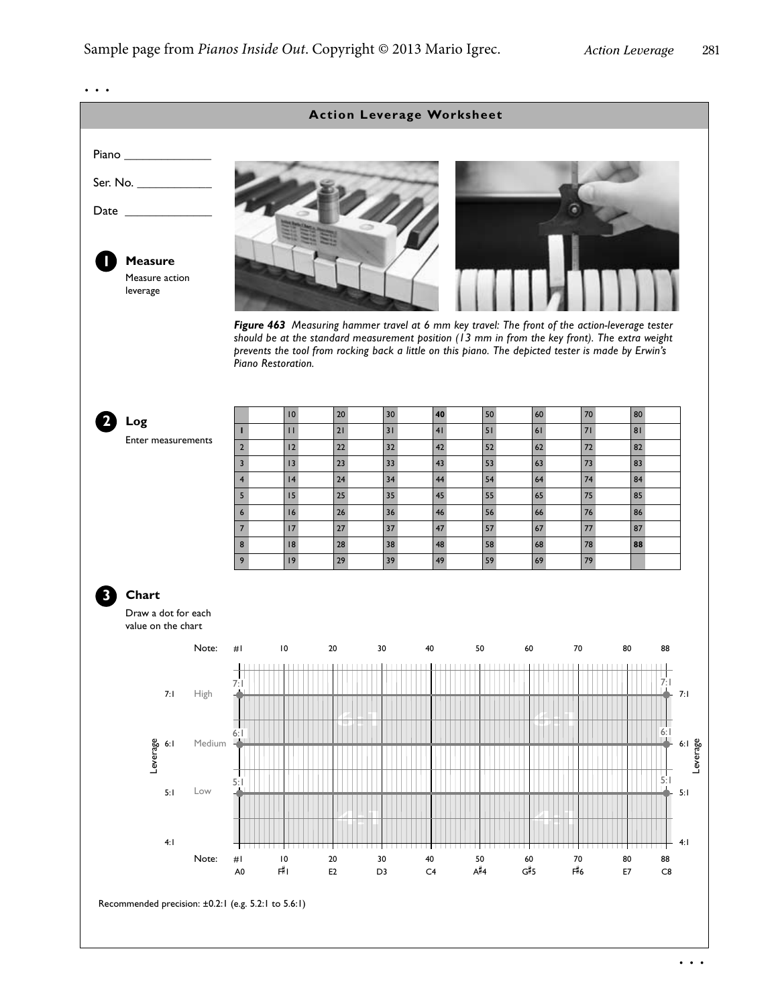6:1 4:1 6:1 4:1 Leverage 7:1 6:1 5:1 4:1 #1 10 20 30 40 50 60 70 80 88 <sup>A</sup># <sup>F</sup> <sup>4</sup> # A0 1 E2 D3 C4 <sup>G</sup># G#5 F#6 6 E7 C8 Note: **Action Leverage Worksheet** es<br>Serage<br>Leve 7:1 5:1 4:1 **1 Measure Log Chart** Measure action leverage Enter measurements Draw a dot for each value on the chart Note: #1 10 20 30 40 50 60 70 80 88 **2 3** 7:1 7:1 High Medium Low 10 20 30 **40** 50 60 70 80 **1** 11 21 31 41 51 61 71 81 2 12 22 32 42 52 62 72 82 3 13 23 33 43 53 63 73 83 4 | 14 | 24 | 34 | 44 | 54 | 64 | 74 | 84 5 15 25 35 45 55 65 75 85 6 16 26 36 46 56 66 76 86 7 17 27 37 47 57 67 77 87 8 18 28 38 48 58 68 78 **88** 9 19 29 39 49 59 69 79 6:1 6:1 5:1 5:1 *Figure 463 Measuring hammer travel at 6 mm key travel: The front of the action-leverage tester should be at the standard measurement position (13 mm in from the key front). The extra weight prevents the tool from rocking back a little on this piano. The depicted tester is made by Erwin's Piano Restoration.* Piano Ser. No. \_\_\_\_\_\_\_\_\_\_\_\_ Date \_ Recommended precision: ±0.2:1 (e.g. 5.2:1 to 5.6:1) . . .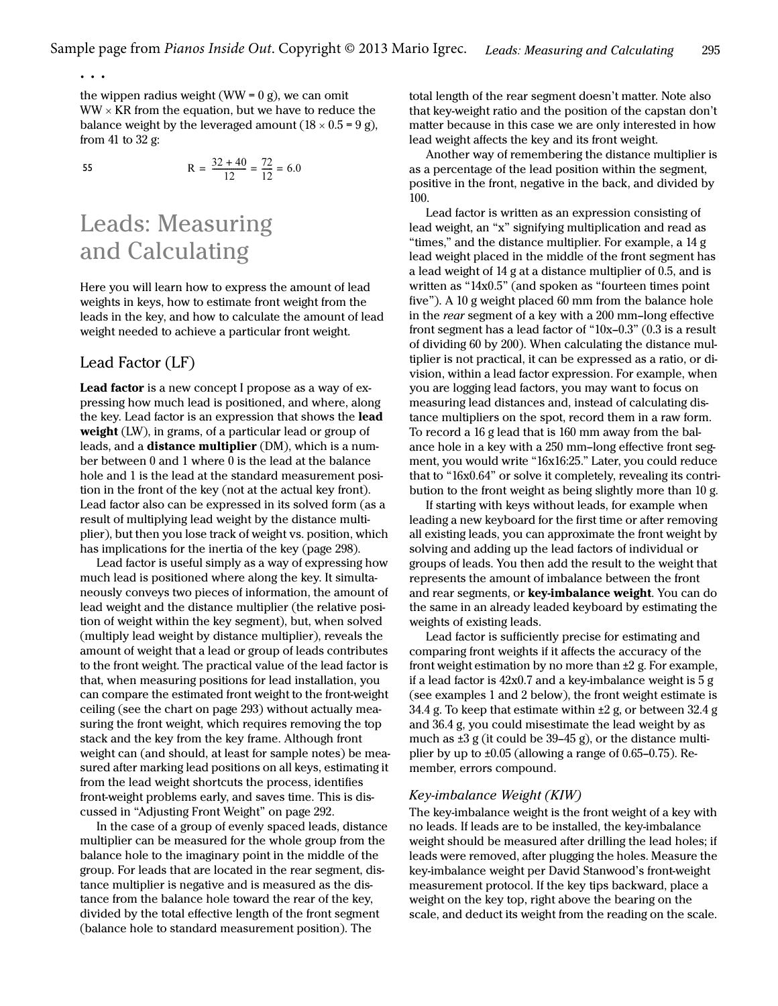the wippen radius weight (WW =  $0$  g), we can omit  $WW \times KR$  from the equation, but we have to reduce the balance weight by the leveraged amount  $(18 \times 0.5 = 9$  g), from 41 to 32 g:

. . .

55 
$$
R = \frac{32 + 40}{12} = \frac{72}{12} = 6.0
$$

# Leads: Measuring and Calculating

Here you will learn how to express the amount of lead weights in keys, how to estimate front weight from the leads in the key, and how to calculate the amount of lead weight needed to achieve a particular front weight.

# <span id="page-6-1"></span>Lead Factor (LF)

Lead factor is a new concept I propose as a way of expressing how much lead is positioned, and where, along the key. Lead factor is an expression that shows the lead weight (LW), in grams, of a particular lead or group of leads, and a **distance multiplier** (DM), which is a number between 0 and 1 where 0 is the lead at the balance hole and 1 is the lead at the standard measurement position in the front of the key (not at the actual key front). Lead factor also can be expressed in its solved form (as a result of multiplying lead weight by the distance multiplier), but then you lose track of weight vs. position, which has implications for the inertia of the key ([page 298\)](#page--1-1).

Lead factor is useful simply as a way of expressing how much lead is positioned where along the key. It simultaneously conveys two pieces of information, the amount of lead weight and the distance multiplier (the relative position of weight within the key segment), but, when solved (multiply lead weight by distance multiplier), reveals the amount of weight that a lead or group of leads contributes to the front weight. The practical value of the lead factor is that, when measuring positions for lead installation, you can compare the estimated front weight to the front-weight ceiling (see the chart on [page 293\)](#page--1-4) without actually measuring the front weight, which requires removing the top stack and the key from the key frame. Although front weight can (and should, at least for sample notes) be measured after marking lead positions on all keys, estimating it from the lead weight shortcuts the process, identifies front-weight problems early, and saves time. This is discussed in ["Adjusting Front Weight" on page 292](#page--1-5).

In the case of a group of evenly spaced leads, distance multiplier can be measured for the whole group from the balance hole to the imaginary point in the middle of the group. For leads that are located in the rear segment, distance multiplier is negative and is measured as the distance from the balance hole toward the rear of the key, divided by the total effective length of the front segment (balance hole to standard measurement position). The

total length of the rear segment doesn't matter. Note also that key-weight ratio and the position of the capstan don't matter because in this case we are only interested in how lead weight affects the key and its front weight.

Another way of remembering the distance multiplier is as a percentage of the lead position within the segment, positive in the front, negative in the back, and divided by 100.

Lead factor is written as an expression consisting of lead weight, an "x" signifying multiplication and read as "times," and the distance multiplier. For example, a 14 g lead weight placed in the middle of the front segment has a lead weight of 14 g at a distance multiplier of 0.5, and is written as "14x0.5" (and spoken as "fourteen times point five"). A 10 g weight placed 60 mm from the balance hole in the rear segment of a key with a 200 mm–long effective front segment has a lead factor of "10x–0.3" (0.3 is a result of dividing 60 by 200). When calculating the distance multiplier is not practical, it can be expressed as a ratio, or division, within a lead factor expression. For example, when you are logging lead factors, you may want to focus on measuring lead distances and, instead of calculating distance multipliers on the spot, record them in a raw form. To record a 16 g lead that is 160 mm away from the balance hole in a key with a 250 mm–long effective front segment, you would write "16x16:25." Later, you could reduce that to "16x0.64" or solve it completely, revealing its contribution to the front weight as being slightly more than 10 g.

If starting with keys without leads, for example when leading a new keyboard for the first time or after removing all existing leads, you can approximate the front weight by solving and adding up the lead factors of individual or groups of leads. You then add the result to the weight that represents the amount of imbalance between the front and rear segments, or key-imbalance weight. You can do the same in an already leaded keyboard by estimating the weights of existing leads.

Lead factor is sufficiently precise for estimating and comparing front weights if it affects the accuracy of the front weight estimation by no more than ±2 g. For example, if a lead factor is 42x0.7 and a key-imbalance weight is 5 g (see examples 1 and 2 below), the front weight estimate is 34.4 g. To keep that estimate within  $\pm 2$  g, or between 32.4 g and 36.4 g, you could misestimate the lead weight by as much as ±3 g (it could be 39–45 g), or the distance multiplier by up to  $\pm 0.05$  (allowing a range of 0.65–0.75). Remember, errors compound.

### <span id="page-6-0"></span>Key-imbalance Weight (KIW)

The key-imbalance weight is the front weight of a key with no leads. If leads are to be installed, the key-imbalance weight should be measured after drilling the lead holes; if leads were removed, after plugging the holes. Measure the key-imbalance weight per David Stanwood's front-weight measurement protocol. If the key tips backward, place a weight on the key top, right above the bearing on the scale, and deduct its weight from the reading on the scale.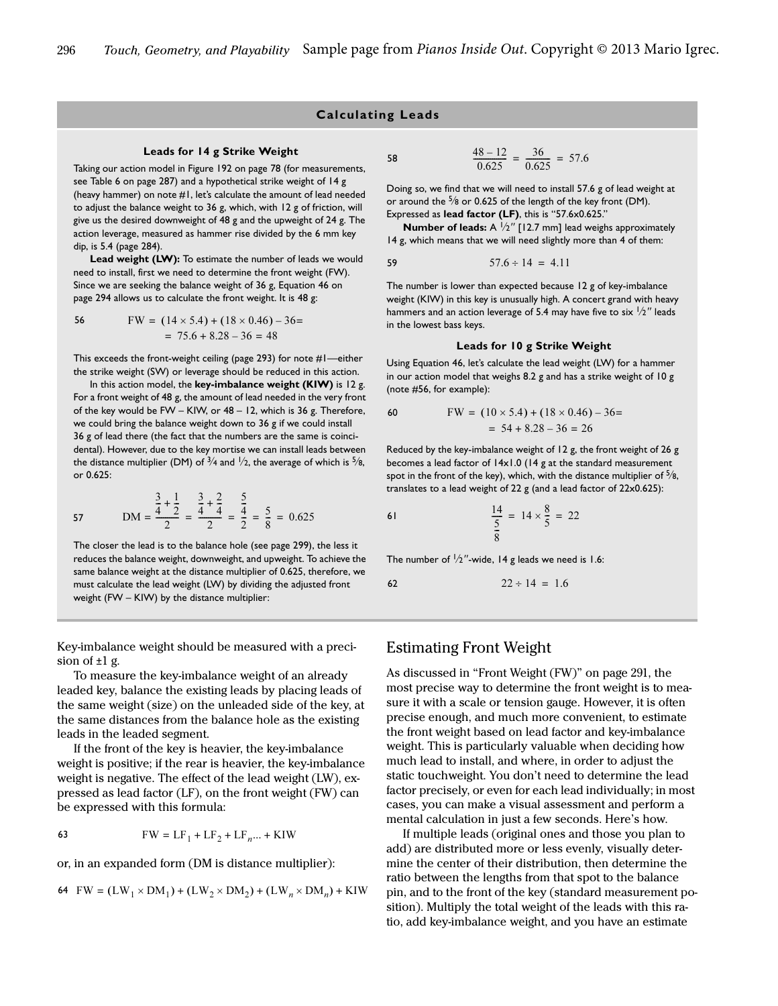### **Calculating Leads**

#### **Leads for 14 g Strike Weight**

Taking our action model in Figure 192 on page 78 (for measurements, see Table 6 on page 287) and a hypothetical strike weight of 14 g (heavy hammer) on note #1, let's calculate the amount of lead needed to adjust the balance weight to 36 g, which, with 12 g of friction, will give us the desired downweight of 48 g and the upweight of 24 g. The action leverage, measured as hammer rise divided by the 6 mm key dip, is 5.4 ([page 284](#page--1-6)).

Lead weight (LW): To estimate the number of leads we would need to install, first we need to determine the front weight (FW). Since we are seeking the balance weight of 36 g, Equation 46 on page 294 allows us to calculate the front weight. It is 48 g:

$$
FW = (14 \times 5.4) + (18 \times 0.46) - 36 = 75.6 + 8.28 - 36 = 48
$$

This exceeds the front-weight ceiling ([page 293](#page--1-4)) for note #1—either the strike weight (SW) or leverage should be reduced in this action.

In this action model, the **key-imbalance weight (KIW)** is 12 g. For a front weight of 48 g, the amount of lead needed in the very front of the key would be FW – KIW, or 48 – 12, which is 36 g. Therefore, we could bring the balance weight down to 36 g if we could install 36 g of lead there (the fact that the numbers are the same is coincidental). However, due to the key mortise we can install leads between the distance multiplier (DM) of  $\frac{3}{4}$  and  $\frac{1}{2}$ , the average of which is  $\frac{5}{8}$ , or 0.625:

57 
$$
DM = \frac{\frac{3}{4} + \frac{1}{2}}{2} = \frac{\frac{3}{4} + \frac{2}{4}}{2} = \frac{\frac{5}{4}}{2} = \frac{5}{8} = 0.625
$$

The closer the lead is to the balance hole (see [page 299](#page--1-7)), the less it reduces the balance weight, downweight, and upweight. To achieve the same balance weight at the distance multiplier of 0.625, therefore, we must calculate the lead weight (LW) by dividing the adjusted front weight (FW – KIW) by the distance multiplier:

Key-imbalance weight should be measured with a precision of ±1 g.

To measure the key-imbalance weight of an already leaded key, balance the existing leads by placing leads of the same weight (size) on the unleaded side of the key, at the same distances from the balance hole as the existing leads in the leaded segment.

If the front of the key is heavier, the key-imbalance weight is positive; if the rear is heavier, the key-imbalance weight is negative. The effect of the lead weight (LW), expressed as lead factor (LF), on the front weight (FW) can be expressed with this formula:

$$
\textbf{FW} = \textbf{LF}_1 + \textbf{LF}_2 + \textbf{LF}_n \dots + \textbf{K} \textbf{I} \textbf{W}
$$

or, in an expanded form (DM is distance multiplier):

$$
64 \quad \text{FW} = (\text{LW}_1 \times \text{DM}_1) + (\text{LW}_2 \times \text{DM}_2) + (\text{LW}_n \times \text{DM}_n) + \text{KIW}
$$

$$
\frac{48 - 12}{0.625} = \frac{36}{0.625} = 57.6
$$

Doing so, we find that we will need to install 57.6 g of lead weight at or around the <sup>5</sup> /8 or 0.625 of the length of the key front (DM). Expressed as **lead factor (LF)**, this is "57.6x0.625."

**Number of leads:** A <sup>1</sup>/2" [12.7 mm] lead weighs approximately 14 g, which means that we will need slightly more than 4 of them:

59 
$$
57.6 \div 14 = 4.11
$$

The number is lower than expected because 12 g of key-imbalance weight (KIW) in this key is unusually high. A concert grand with heavy hammers and an action leverage of 5.4 may have five to six  $\frac{1}{2}$ " leads in the lowest bass keys.

#### **Leads for 10 g Strike Weight**

Using Equation 46, let's calculate the lead weight (LW) for a hammer in our action model that weighs 8.2 g and has a strike weight of 10 g (note #56, for example):

60 FW = 
$$
(10 \times 5.4) + (18 \times 0.46) - 36 = 54 + 8.28 - 36 = 26
$$

Reduced by the key-imbalance weight of 12 g, the front weight of 26 g becomes a lead factor of 14x1.0 (14 g at the standard measurement spot in the front of the key), which, with the distance multiplier of  $\frac{5}{8}$ , translates to a lead weight of 22 g (and a lead factor of 22x0.625):

61 
$$
\frac{14}{\frac{5}{8}} = 14 \times \frac{8}{5} = 22
$$

The number of  $\frac{1}{2}$ "-wide, 14 g leads we need is 1.6:

$$
22 \div 14 = 1.6
$$

### Estimating Front Weight

As discussed in ["Front Weight \(FW\)" on page 291](#page--1-8), the most precise way to determine the front weight is to measure it with a scale or tension gauge. However, it is often precise enough, and much more convenient, to estimate the front weight based on lead factor and key-imbalance weight. This is particularly valuable when deciding how much lead to install, and where, in order to adjust the static touchweight. You don't need to determine the lead factor precisely, or even for each lead individually; in most cases, you can make a visual assessment and perform a mental calculation in just a few seconds. Here's how.

If multiple leads (original ones and those you plan to add) are distributed more or less evenly, visually determine the center of their distribution, then determine the ratio between the lengths from that spot to the balance pin, and to the front of the key (standard measurement position). Multiply the total weight of the leads with this ratio, add key-imbalance weight, and you have an estimate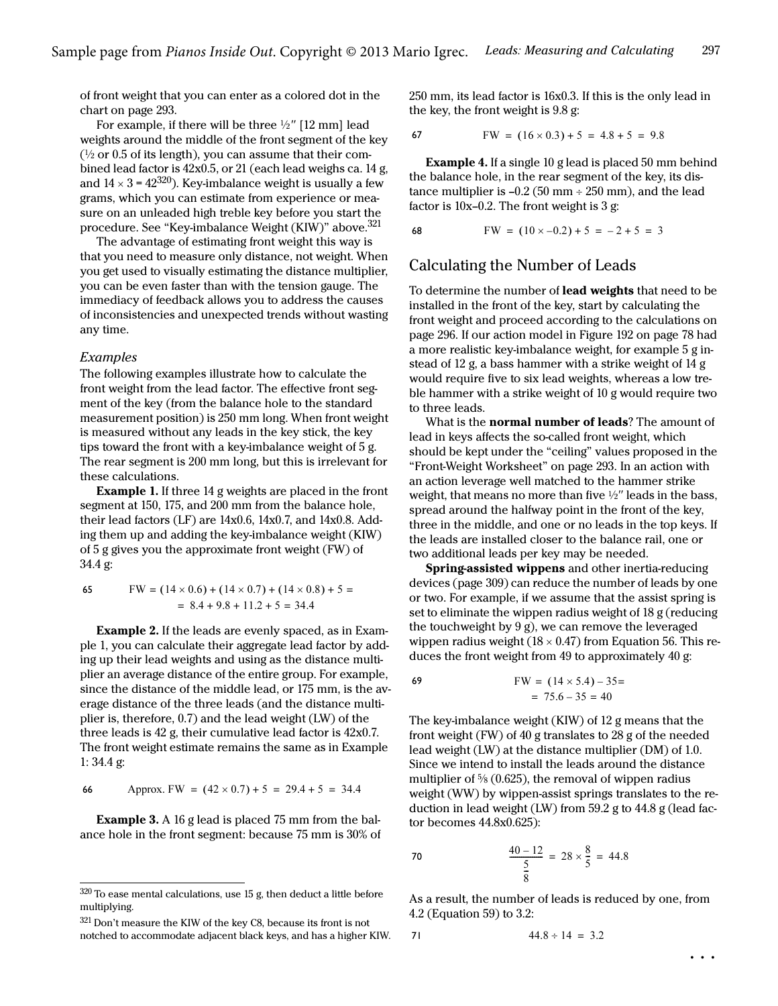of front weight that you can enter as a colored dot in the chart on [page 293](#page--1-4).

For example, if there will be three  $\frac{1}{2}$ " [12 mm] lead weights around the middle of the front segment of the key  $(1/2)$  or 0.5 of its length), you can assume that their combined lead factor is 42x0.5, or 21 (each lead weighs ca. 14 g, and  $14 \times 3 = 42^{320}$ ). Key-imbalance weight is usually a few grams, which you can estimate from experience or measure on an unleaded high treble key before you start the procedure. See ["Key-imbalance Weight \(KIW\)"](#page-6-0) above.<sup>321</sup>

The advantage of estimating front weight this way is that you need to measure only distance, not weight. When you get used to visually estimating the distance multiplier, you can be even faster than with the tension gauge. The immediacy of feedback allows you to address the causes of inconsistencies and unexpected trends without wasting any time.

#### Examples

The following examples illustrate how to calculate the front weight from the lead factor. The effective front segment of the key (from the balance hole to the standard measurement position) is 250 mm long. When front weight is measured without any leads in the key stick, the key tips toward the front with a key-imbalance weight of 5 g. The rear segment is 200 mm long, but this is irrelevant for these calculations.

Example 1. If three 14 g weights are placed in the front segment at 150, 175, and 200 mm from the balance hole, their lead factors (LF) are 14x0.6, 14x0.7, and 14x0.8. Adding them up and adding the key-imbalance weight (KIW) of 5 g gives you the approximate front weight (FW) of 34.4 g:

65 
$$
FW = (14 \times 0.6) + (14 \times 0.7) + (14 \times 0.8) + 5 =
$$

$$
= 8.4 + 9.8 + 11.2 + 5 = 34.4
$$

Example 2. If the leads are evenly spaced, as in Example 1, you can calculate their aggregate lead factor by adding up their lead weights and using as the distance multiplier an average distance of the entire group. For example, since the distance of the middle lead, or 175 mm, is the average distance of the three leads (and the distance multiplier is, therefore, 0.7) and the lead weight (LW) of the three leads is 42 g, their cumulative lead factor is 42x0.7. The front weight estimate remains the same as in Example 1: 34.4 g:

66 Approx. FW = 
$$
(42 \times 0.7) + 5 = 29.4 + 5 = 34.4
$$

Example 3. A 16 g lead is placed 75 mm from the balance hole in the front segment: because 75 mm is 30% of

321 Don't measure the KIW of the key C8, because its front is not notched to accommodate adjacent black keys, and has a higher KIW. 250 mm, its lead factor is 16x0.3. If this is the only lead in the key, the front weight is 9.8 g:

$$
67 \quad \text{FW} = (16 \times 0.3) + 5 = 4.8 + 5 = 9.8
$$

Example 4. If a single 10 g lead is placed 50 mm behind the balance hole, in the rear segment of the key, its distance multiplier is  $-0.2$  (50 mm  $\div$  250 mm), and the lead factor is  $10x-0.2$ . The front weight is 3 g:

$$
FW = (10 \times -0.2) + 5 = -2 + 5 = 3
$$

# Calculating the Number of Leads

To determine the number of **lead weights** that need to be installed in the front of the key, start by calculating the front weight and proceed according to the calculations on page 296. If our action model in Figure 192 on page 78 had a more realistic key-imbalance weight, for example 5 g instead of 12 g, a bass hammer with a strike weight of 14 g would require five to six lead weights, whereas a low treble hammer with a strike weight of 10 g would require two to three leads.

What is the **normal number of leads**? The amount of lead in keys affects the so-called front weight, which should be kept under the "ceiling" values proposed in the ["Front-Weight Worksheet"](#page--1-4) on [page 293](#page--1-4). In an action with an action leverage well matched to the hammer strike weight, that means no more than five  $\frac{1}{2}$ " leads in the bass, spread around the halfway point in the front of the key, three in the middle, and one or no leads in the top keys. If the leads are installed closer to the balance rail, one or two additional leads per key may be needed.

Spring-assisted wippens and other inertia-reducing devices [\(page 309\)](#page--1-9) can reduce the number of leads by one or two. For example, if we assume that the assist spring is set to eliminate the wippen radius weight of 18 g (reducing the touchweight by 9 g), we can remove the leveraged wippen radius weight ( $18 \times 0.47$ ) from Equation 56. This reduces the front weight from 49 to approximately 40 g:

$$
FW = (14 \times 5.4) - 35 =
$$
  
= 75.6 - 35 = 40

The key-imbalance weight (KIW) of 12 g means that the front weight (FW) of 40 g translates to 28 g of the needed lead weight (LW) at the distance multiplier (DM) of 1.0. Since we intend to install the leads around the distance multiplier of  $\frac{5}{8}$  (0.625), the removal of wippen radius weight (WW) by wippen-assist springs translates to the reduction in lead weight (LW) from 59.2 g to 44.8 g (lead factor becomes 44.8x0.625):

70 
$$
\frac{40 - 12}{\frac{5}{8}} = 28 \times \frac{8}{5} = 44.8
$$

As a result, the number of leads is reduced by one, from 4.2 (Equation 59) to 3.2:

$$
44.8 \div 14 = 3.2
$$

 $320$  To ease mental calculations, use 15 g, then deduct a little before multiplying.